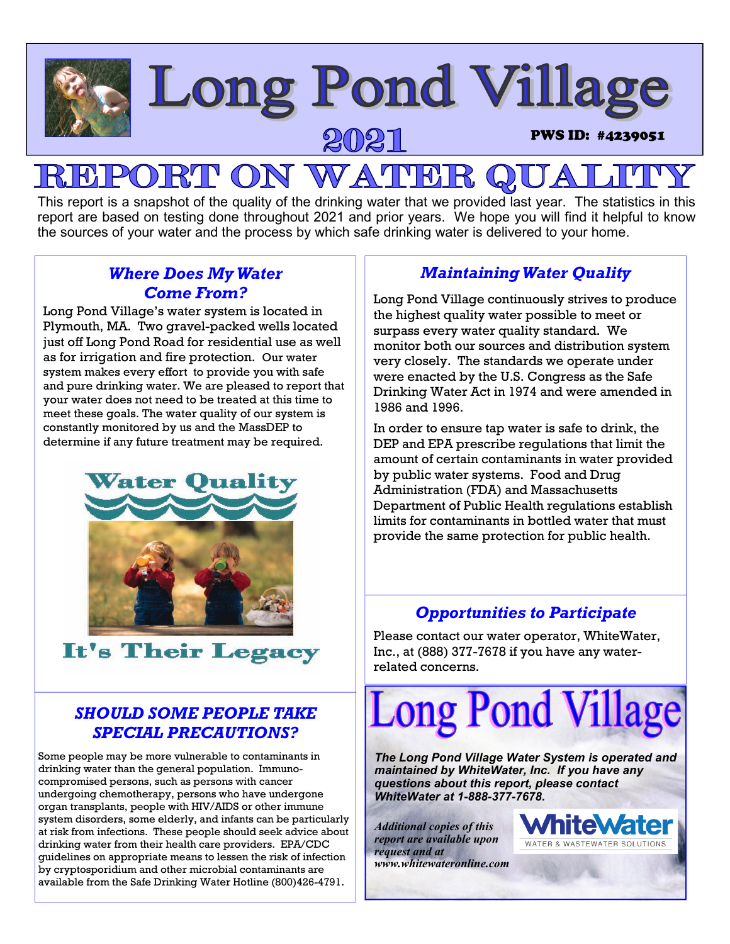

### This report is a snapshot of the quality of the drinking water that we provided last year. The statistics in this report are based on testing done throughout 2021 and prior years. We hope you will find it helpful to know the sources of your water and the process by which safe drinking water is delivered to your home.

### *Where Does My Water Come From?*

Long Pond Village's water system is located in Plymouth, MA. Two gravel-packed wells located just off Long Pond Road for residential use as well as for irrigation and fire protection. Our water system makes every effort to provide you with safe and pure drinking water. We are pleased to report that your water does not need to be treated at this time to meet these goals. The water quality of our system is constantly monitored by us and the MassDEP to determine if any future treatment may be required.



## It's Their Legacy

### *SHOULD SOME PEOPLE TAKE SPECIAL PRECAUTIONS?*

Some people may be more vulnerable to contaminants in drinking water than the general population. Immunocompromised persons, such as persons with cancer undergoing chemotherapy, persons who have undergone organ transplants, people with HIV/AIDS or other immune system disorders, some elderly, and infants can be particularly at risk from infections. These people should seek advice about drinking water from their health care providers. EPA/CDC guidelines on appropriate means to lessen the risk of infection by cryptosporidium and other microbial contaminants are available from the Safe Drinking Water Hotline (800)426-4791.

### *Maintaining Water Quality*

Long Pond Village continuously strives to produce the highest quality water possible to meet or surpass every water quality standard. We monitor both our sources and distribution system very closely. The standards we operate under were enacted by the U.S. Congress as the Safe Drinking Water Act in 1974 and were amended in 1986 and 1996.

In order to ensure tap water is safe to drink, the DEP and EPA prescribe regulations that limit the amount of certain contaminants in water provided by public water systems. Food and Drug Administration (FDA) and Massachusetts Department of Public Health regulations establish limits for contaminants in bottled water that must provide the same protection for public health.

### *Opportunities to Participate*

Please contact our water operator, WhiteWater, Inc., at (888) 377-7678 if you have any waterrelated concerns.



*The Long Pond Village Water System is operated and maintained by WhiteWater, Inc. If you have any questions about this report, please contact WhiteWater at 1-888-377-7678.* 

*Additional copies of this report are available upon request and at www.whitewateronline.com* 

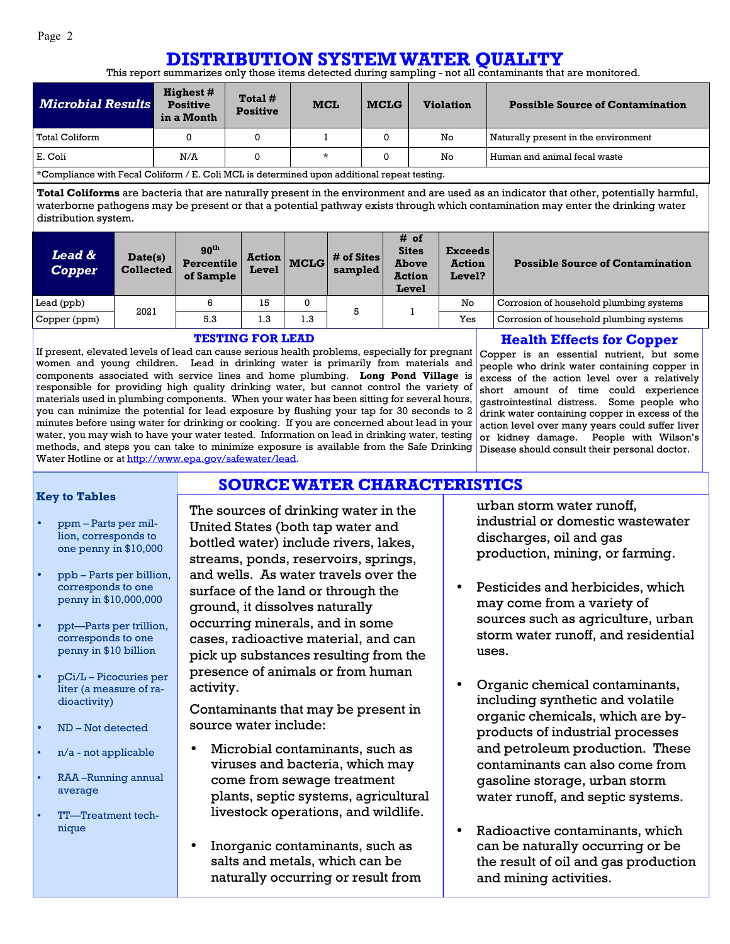### **DISTRIBUTION SYSTEM WATER QUALITY**

This report summarizes only those items detected during sampling - not all contaminants that are monitored.

| <b>Microbial Results</b>                                                                                  | <b>Highest</b> #<br><b>Positive</b><br>in a Month | Total #<br><b>Positive</b> | <b>MCL</b> | <b>MCLG</b> | <b>Violation</b> | <b>Possible Source of Contamination</b> |  |
|-----------------------------------------------------------------------------------------------------------|---------------------------------------------------|----------------------------|------------|-------------|------------------|-----------------------------------------|--|
| l Total Coliform                                                                                          |                                                   |                            |            |             | No               | Naturally present in the environment    |  |
| E. Coli                                                                                                   | N/A                                               |                            | *          |             | No               | Human and animal fecal waste            |  |
| $\,{}^{\star}$ Compliance with Fecal Coliform / E. Coli MCL is determined upon additional repeat testing. |                                                   |                            |            |             |                  |                                         |  |

\*Compliance with Fecal Coliform / E. Coli MCL is determined upon additional repeat testing.

**Total Coliforms** are bacteria that are naturally present in the environment and are used as an indicator that other, potentially harmful, waterborne pathogens may be present or that a potential pathway exists through which contamination may enter the drinking water distribution system.

| <b>Lead &amp;</b><br><b>Copper</b> | Date(s)<br><b>Collected</b> | 90 <sup>th</sup><br><b>Percentile</b><br>of Sample | <b>Action</b><br>Level | <b>MCLG</b> | # of Sites<br>sampled | # of<br><b>Sites</b><br><b>Above</b><br><b>Action</b><br>Level | <b>Exceeds</b><br><b>Action</b><br>Level? | <b>Possible Source of Contamination</b> |
|------------------------------------|-----------------------------|----------------------------------------------------|------------------------|-------------|-----------------------|----------------------------------------------------------------|-------------------------------------------|-----------------------------------------|
| Lead (ppb)                         | 2021                        |                                                    | 15                     | 0           | 5                     |                                                                | No                                        | Corrosion of household plumbing systems |
| Copper (ppm)                       |                             | 5.3                                                | 1.3                    | 1.3         |                       |                                                                | Yes                                       | Corrosion of household plumbing systems |

**SOURCE WATER CHARACTERISTICS**

#### **TESTING FOR LEAD**

If present, elevated levels of lead can cause serious health problems, especially for pregnant women and young children. Lead in drinking water is primarily from materials and components associated with service lines and home plumbing. **Long Pond Village** is responsible for providing high quality drinking water, but cannot control the variety of materials used in plumbing components. When your water has been sitting for several hours, you can minimize the potential for lead exposure by flushing your tap for 30 seconds to 2 minutes before using water for drinking or cooking. If you are concerned about lead in your water, you may wish to have your water tested. Information on lead in drinking water, testing methods, and steps you can take to minimize exposure is available from the Safe Drinking Disease should consult their personal doctor. Water Hotline or at http://www.epa.gov/safewater/lead.

#### **Health Effects for Copper**

Copper is an essential nutrient, but some people who drink water containing copper in excess of the action level over a relatively short amount of time could experience gastrointestinal distress. Some people who drink water containing copper in excess of the action level over many years could suffer liver or kidney damage. People with Wilson's

#### **Key to Tables**

- ppm Parts per million, corresponds to one penny in \$10,000
- ppb Parts per billion, corresponds to one penny in \$10,000,000
- ppt—Parts per trillion, corresponds to one penny in \$10 billion
- pCi/L Picocuries per liter (a measure of radioactivity)
- ND Not detected
- n/a not applicable
- RAA –Running annual average
- TT—Treatment technique

The sources of drinking water in the United States (both tap water and bottled water) include rivers, lakes, streams, ponds, reservoirs, springs, and wells. As water travels over the surface of the land or through the ground, it dissolves naturally occurring minerals, and in some cases, radioactive material, and can pick up substances resulting from the presence of animals or from human activity.

Contaminants that may be present in source water include:

- Microbial contaminants, such as viruses and bacteria, which may come from sewage treatment plants, septic systems, agricultural livestock operations, and wildlife.
- Inorganic contaminants, such as salts and metals, which can be naturally occurring or result from

urban storm water runoff, industrial or domestic wastewater discharges, oil and gas production, mining, or farming.

- Pesticides and herbicides, which may come from a variety of sources such as agriculture, urban storm water runoff, and residential uses.
- Organic chemical contaminants, including synthetic and volatile organic chemicals, which are byproducts of industrial processes and petroleum production. These contaminants can also come from gasoline storage, urban storm water runoff, and septic systems.
- Radioactive contaminants, which can be naturally occurring or be the result of oil and gas production and mining activities.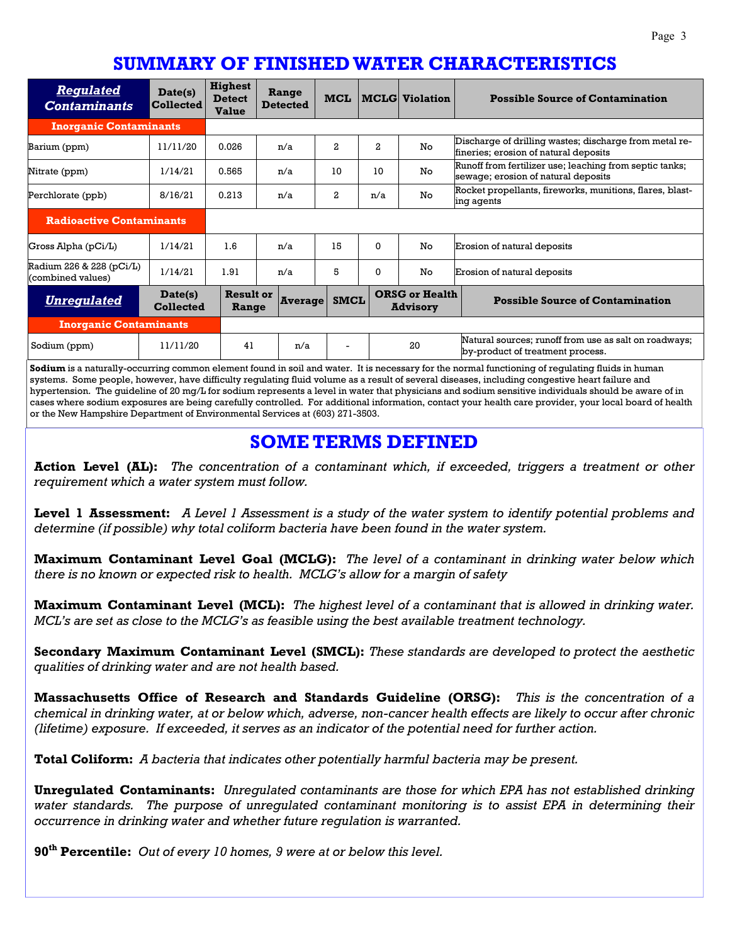## **SUMMARY OF FINISHED WATER CHARACTERISTICS**

| <b>Regulated</b><br><b>Contaminants</b>       | Date(s)<br><b>Collected</b> | <b>Highest</b><br><b>Detect</b><br><b>Value</b> | Range<br><b>Detected</b> | <b>MCL</b>   |              | <b>MCLG</b> Violation                    | <b>Possible Source of Contamination</b>                                                         |
|-----------------------------------------------|-----------------------------|-------------------------------------------------|--------------------------|--------------|--------------|------------------------------------------|-------------------------------------------------------------------------------------------------|
| <b>Inorganic Contaminants</b>                 |                             |                                                 |                          |              |              |                                          |                                                                                                 |
| Barium (ppm)                                  | 11/11/20                    | 0.026                                           | n/a                      | $\mathbf{z}$ | $\mathbf{2}$ | No.                                      | Discharge of drilling wastes; discharge from metal re-<br>fineries; erosion of natural deposits |
| Nitrate (ppm)                                 | 1/14/21                     | 0.565                                           | n/a                      | 10           | 10           | No.                                      | Runoff from fertilizer use; leaching from septic tanks;<br>sewage; erosion of natural deposits  |
| Perchlorate (ppb)                             | 8/16/21                     | 0.213                                           | n/a                      | $\mathbf{2}$ | n/a          | No                                       | Rocket propellants, fireworks, munitions, flares, blast-<br>ing agents                          |
| <b>Radioactive Contaminants</b>               |                             |                                                 |                          |              |              |                                          |                                                                                                 |
| Gross Alpha (pCi/L)                           | 1/14/21                     | 1.6                                             | n/a                      | 15           | $\Omega$     | No                                       | Erosion of natural deposits                                                                     |
| Radium 226 & 228 (pCi/L)<br>(combined values) | 1/14/21                     | 1.91                                            | n/a                      | 5            | $\Omega$     | No                                       | Erosion of natural deposits                                                                     |
| <b>Unregulated</b>                            | Date(s)<br><b>Collected</b> | <b>Result or</b><br>Range                       | <b>Average</b>           | <b>SMCL</b>  |              | <b>ORSG or Health</b><br><b>Advisory</b> | <b>Possible Source of Contamination</b>                                                         |
| <b>Inorganic Contaminants</b>                 |                             |                                                 |                          |              |              |                                          |                                                                                                 |
| Sodium (ppm)                                  | 11/11/20                    | 41                                              | n/a                      |              |              | 20                                       | Natural sources; runoff from use as salt on roadways;<br>by-product of treatment process.       |

**Sodium** is a naturally-occurring common element found in soil and water. It is necessary for the normal functioning of regulating fluids in human systems. Some people, however, have difficulty regulating fluid volume as a result of several diseases, including congestive heart failure and hypertension. The guideline of 20 mg/L for sodium represents a level in water that physicians and sodium sensitive individuals should be aware of in cases where sodium exposures are being carefully controlled. For additional information, contact your health care provider, your local board of health or the New Hampshire Department of Environmental Services at (603) 271-3503.

### **SOME TERMS DEFINED**

**Action Level (AL):** *The concentration of a contaminant which, if exceeded, triggers a treatment or other requirement which a water system must follow.* 

**Level 1 Assessment:** *A Level 1 Assessment is a study of the water system to identify potential problems and determine (if possible) why total coliform bacteria have been found in the water system.* 

**Maximum Contaminant Level Goal (MCLG):** *The level of a contaminant in drinking water below which there is no known or expected risk to health. MCLG's allow for a margin of safety* 

**Maximum Contaminant Level (MCL):** *The highest level of a contaminant that is allowed in drinking water. MCL's are set as close to the MCLG's as feasible using the best available treatment technology.* 

**Secondary Maximum Contaminant Level (SMCL):** *These standards are developed to protect the aesthetic qualities of drinking water and are not health based.* 

**Massachusetts Office of Research and Standards Guideline (ORSG):** *This is the concentration of a chemical in drinking water, at or below which, adverse, non-cancer health effects are likely to occur after chronic (lifetime) exposure. If exceeded, it serves as an indicator of the potential need for further action.* 

**Total Coliform:** *A bacteria that indicates other potentially harmful bacteria may be present.* 

**Unregulated Contaminants:** *Unregulated contaminants are those for which EPA has not established drinking*  water standards. The purpose of unregulated contaminant monitoring is to assist EPA in determining their *occurrence in drinking water and whether future regulation is warranted.* 

**90th Percentile:** *Out of every 10 homes, 9 were at or below this level.*